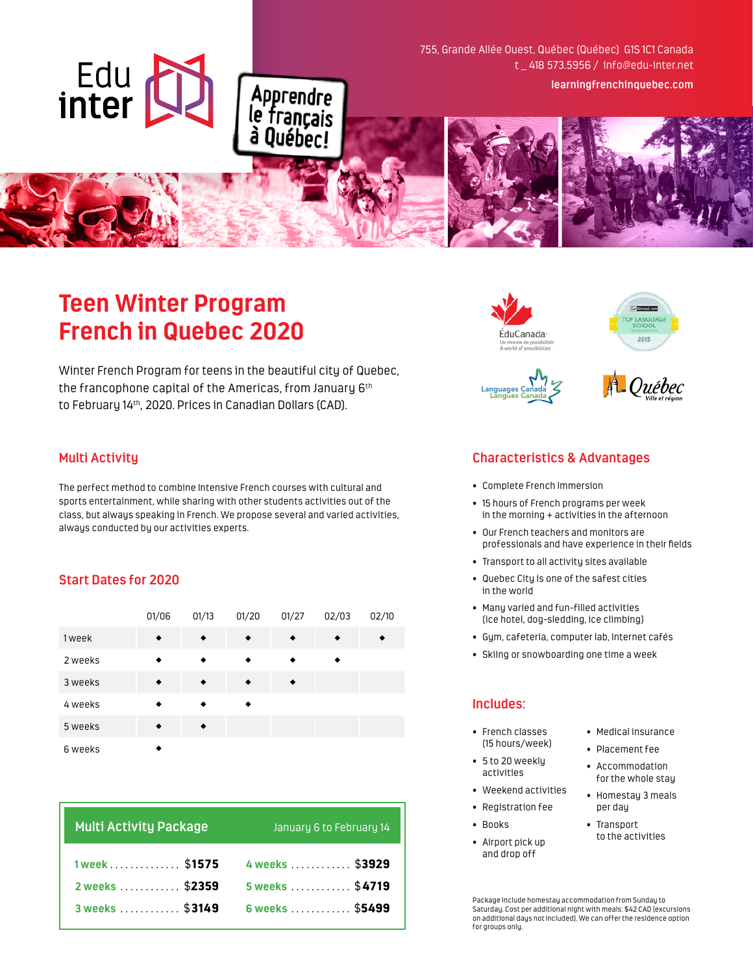755, Grande Allée Ouest, Québec (Québec) G1S 1C1 Canada t \_ 418 573.5956 / info@edu-inter.net **learningfrenchinquebec.com**

# **Teen Winter Program French in Quebec 2020**

Winter French Program for teens in the beautiful city of Quebec, the francophone capital of the Americas, from January 6th to February 14th, 2020. Prices in Canadian Dollars (CAD).

Apprendre<br>le français<br>à Québec!

## **Multi Activity**

Edu<br>inter

The perfect method to combine Intensive French courses with cultural and sports entertainment, while sharing with other students activities out of the class, but always speaking in French. We propose several and varied activities, always conducted by our activities experts.

## **Start Dates for 2020**

|         | 01/06 | 01/13 | 01/20 | 01/27 | 02/03 | 02/10 |
|---------|-------|-------|-------|-------|-------|-------|
| 1 week  |       |       |       |       |       |       |
| 2 weeks |       |       |       |       |       |       |
| 3 weeks |       |       |       |       |       |       |
| 4 weeks |       |       |       |       |       |       |
| 5 weeks |       |       |       |       |       |       |
| 6 weeks |       |       |       |       |       |       |

| <b>Multi Activity Package</b> | January 6 to February 14 |  |  |
|-------------------------------|--------------------------|--|--|
| 1 week \$1575                 | 4 weeks  \$3929          |  |  |
| 2 weeks  \$2359               | 5 weeks  \$4719          |  |  |
| 3 weeks  \$3149               | 6 weeks  \$5499          |  |  |







# **Characteristics & Advantages**

- Complete French Immersion
- 15 hours of French programs per week in the morning + activities in the afternoon
- Our French teachers and monitors are professionals and have experience in their fields
- Transport to all activity sites available
- Quebec City is one of the safest cities in the world
- Many varied and fun-filled activities (ice hotel, dog-sledding, ice climbing)
- Gym, cafeteria, computer lab, Internet cafés
- Skiing or snowboarding one time a week

## **Includes:**

- French classes (15 hours/week)
- 5 to 20 weekly activities
- Weekend activities
- Registration fee
- Books
- Airport pick up and drop off
- Medical insurance
- Placement fee
- Accommodation for the whole stay
- Homestay 3 meals per day
- Transport to the activities

Package include homestay accommodation from Sunday to Saturday. Cost per additional night with meals: \$42 CAD (excursions on additional days not included). We can offer the residence option for groups only.